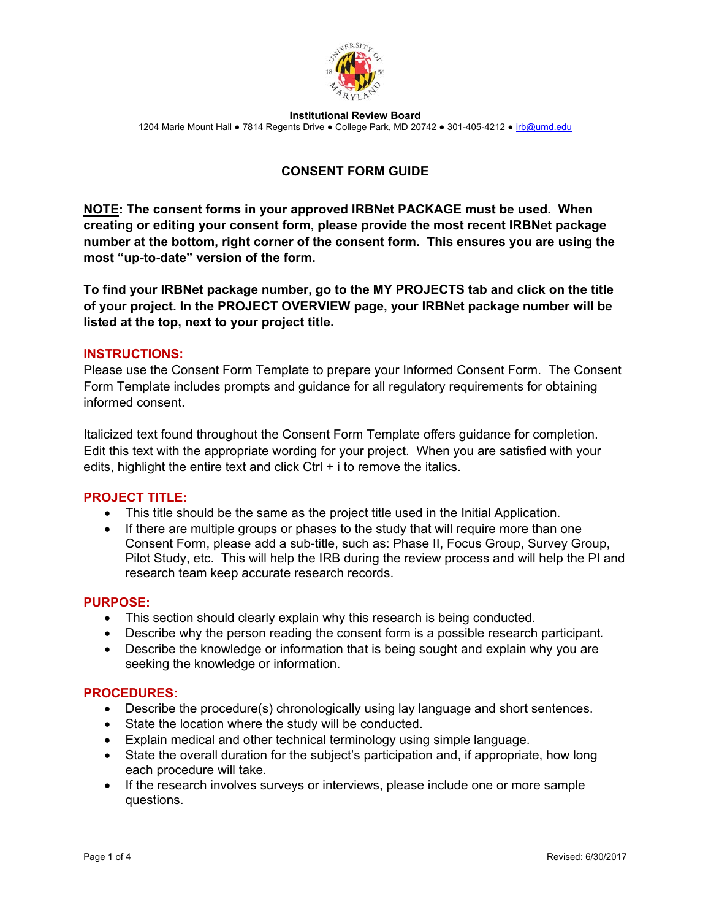

**Institutional Review Board**  1204 Marie Mount Hall . 7814 Regents Drive . College Park, MD 20742 . 301-405-4212 . irb@umd.edu

# **CONSENT FORM GUIDE**

**NOTE: The consent forms in your approved IRBNet PACKAGE must be used. When creating or editing your consent form, please provide the most recent IRBNet package number at the bottom, right corner of the consent form. This ensures you are using the most "up-to-date" version of the form.** 

**To find your IRBNet package number, go to the MY PROJECTS tab and click on the title of your project. In the PROJECT OVERVIEW page, your IRBNet package number will be listed at the top, next to your project title.** 

### **INSTRUCTIONS:**

Please use the Consent Form Template to prepare your Informed Consent Form. The Consent Form Template includes prompts and guidance for all regulatory requirements for obtaining informed consent.

Italicized text found throughout the Consent Form Template offers guidance for completion. Edit this text with the appropriate wording for your project. When you are satisfied with your edits, highlight the entire text and click  $Ctrl + i$  to remove the italics.

### **PROJECT TITLE:**

- This title should be the same as the project title used in the Initial Application.
- If there are multiple groups or phases to the study that will require more than one Consent Form, please add a sub-title, such as: Phase II, Focus Group, Survey Group, Pilot Study, etc. This will help the IRB during the review process and will help the PI and research team keep accurate research records.

#### **PURPOSE:**

- This section should clearly explain why this research is being conducted.
- Describe why the person reading the consent form is a possible research participant*.*
- Describe the knowledge or information that is being sought and explain why you are seeking the knowledge or information.

#### **PROCEDURES:**

- Describe the procedure(s) chronologically using lay language and short sentences.
- State the location where the study will be conducted.
- Explain medical and other technical terminology using simple language.
- State the overall duration for the subject's participation and, if appropriate, how long each procedure will take.
- If the research involves surveys or interviews, please include one or more sample questions.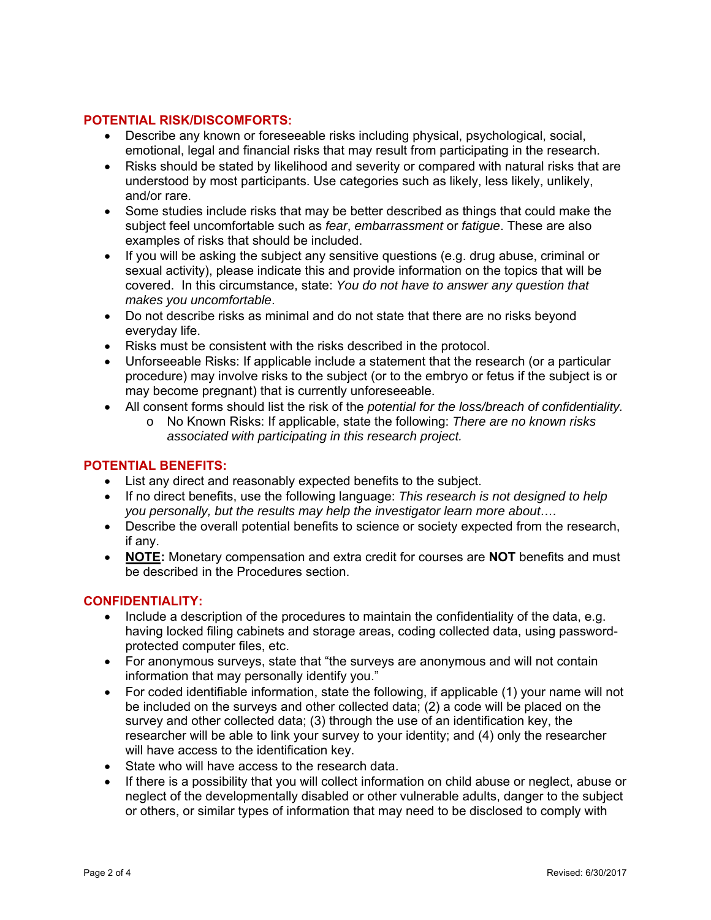## **POTENTIAL RISK/DISCOMFORTS:**

- Describe any known or foreseeable risks including physical, psychological, social, emotional, legal and financial risks that may result from participating in the research.
- Risks should be stated by likelihood and severity or compared with natural risks that are understood by most participants. Use categories such as likely, less likely, unlikely, and/or rare.
- Some studies include risks that may be better described as things that could make the subject feel uncomfortable such as *fear*, *embarrassment* or *fatigue*. These are also examples of risks that should be included.
- If you will be asking the subject any sensitive questions (e.g. drug abuse, criminal or sexual activity), please indicate this and provide information on the topics that will be covered. In this circumstance, state: *You do not have to answer any question that makes you uncomfortable*.
- Do not describe risks as minimal and do not state that there are no risks beyond everyday life.
- Risks must be consistent with the risks described in the protocol.
- Unforseeable Risks: If applicable include a statement that the research (or a particular procedure) may involve risks to the subject (or to the embryo or fetus if the subject is or may become pregnant) that is currently unforeseeable.
- All consent forms should list the risk of the *potential for the loss/breach of confidentiality.* 
	- o No Known Risks: If applicable, state the following: *There are no known risks associated with participating in this research project.*

### **POTENTIAL BENEFITS:**

- List any direct and reasonably expected benefits to the subject.
- If no direct benefits, use the following language: *This research is not designed to help you personally, but the results may help the investigator learn more about….*
- Describe the overall potential benefits to science or society expected from the research, if any.
- **NOTE:** Monetary compensation and extra credit for courses are **NOT** benefits and must be described in the Procedures section.

### **CONFIDENTIALITY:**

- $\bullet$  Include a description of the procedures to maintain the confidentiality of the data, e.g. having locked filing cabinets and storage areas, coding collected data, using passwordprotected computer files, etc.
- For anonymous surveys, state that "the surveys are anonymous and will not contain information that may personally identify you."
- For coded identifiable information, state the following, if applicable (1) your name will not be included on the surveys and other collected data; (2) a code will be placed on the survey and other collected data; (3) through the use of an identification key, the researcher will be able to link your survey to your identity; and (4) only the researcher will have access to the identification key.
- State who will have access to the research data.
- If there is a possibility that you will collect information on child abuse or neglect, abuse or neglect of the developmentally disabled or other vulnerable adults, danger to the subject or others, or similar types of information that may need to be disclosed to comply with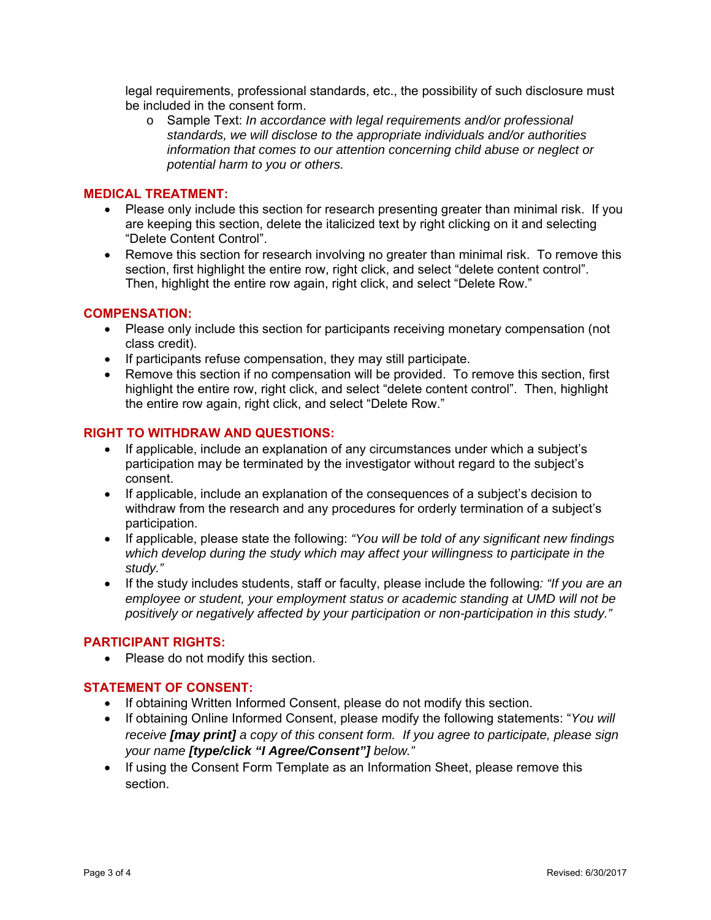legal requirements, professional standards, etc., the possibility of such disclosure must be included in the consent form.

o Sample Text: *In accordance with legal requirements and/or professional standards, we will disclose to the appropriate individuals and/or authorities information that comes to our attention concerning child abuse or neglect or potential harm to you or others.*

#### **MEDICAL TREATMENT:**

- Please only include this section for research presenting greater than minimal risk. If you are keeping this section, delete the italicized text by right clicking on it and selecting "Delete Content Control".
- Remove this section for research involving no greater than minimal risk. To remove this section, first highlight the entire row, right click, and select "delete content control". Then, highlight the entire row again, right click, and select "Delete Row."

### **COMPENSATION:**

- Please only include this section for participants receiving monetary compensation (not class credit).
- If participants refuse compensation, they may still participate.
- Remove this section if no compensation will be provided. To remove this section, first highlight the entire row, right click, and select "delete content control". Then, highlight the entire row again, right click, and select "Delete Row."

### **RIGHT TO WITHDRAW AND QUESTIONS:**

- If applicable, include an explanation of any circumstances under which a subject's participation may be terminated by the investigator without regard to the subject's consent.
- If applicable, include an explanation of the consequences of a subject's decision to withdraw from the research and any procedures for orderly termination of a subject's participation.
- If applicable, please state the following: *"You will be told of any significant new findings which develop during the study which may affect your willingness to participate in the study."*
- If the study includes students, staff or faculty, please include the following*: "If you are an employee or student, your employment status or academic standing at UMD will not be positively or negatively affected by your participation or non-participation in this study."*

#### **PARTICIPANT RIGHTS:**

• Please do not modify this section.

### **STATEMENT OF CONSENT:**

- If obtaining Written Informed Consent, please do not modify this section.
- If obtaining Online Informed Consent, please modify the following statements: "*You will receive [may print] a copy of this consent form. If you agree to participate, please sign your name [type/click "I Agree/Consent"] below."*
- If using the Consent Form Template as an Information Sheet, please remove this section.